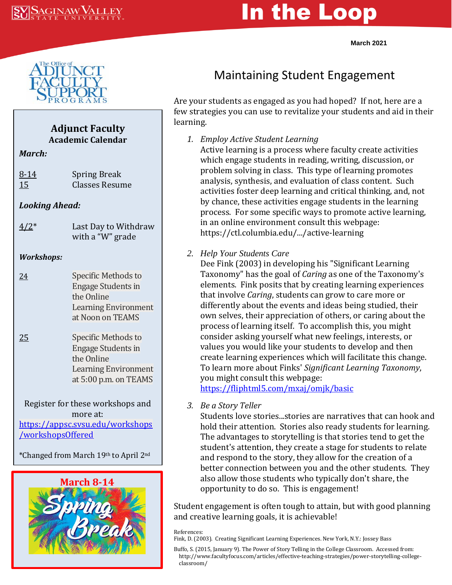# In the Loop

**March 2021**



## **Adjunct Faculty Academic Calendar** *March:* 8-14 Spring Break 15 Classes Resume *Looking Ahead:*  $4/2^*$  Last Day to Withdraw with a "W" grade *Workshops:*

- 24 Specific Methods to Engage Students in the Online Learning Environment at Noon on TEAMS
- 25 Specific Methods to Engage Students in the Online Learning Environment at 5:00 p.m. on TEAMS

Register for these workshops and more at: [https://appsc.svsu.edu/workshops](https://appsc.svsu.edu/workshops/workshopsOffered) [/workshopsOffered](https://appsc.svsu.edu/workshops/workshopsOffered)

\*Changed from March 19th to April 2nd



## Maintaining Student Engagement

Are your students as engaged as you had hoped? If not, here are a few strategies you can use to revitalize your students and aid in their learning.

*1. Employ Active Student Learning*

Active learning is a process where faculty create activities which engage students in reading, writing, discussion, or problem solving in class. This type of learning promotes analysis, synthesis, and evaluation of class content. Such activities foster deep learning and critical thinking, and, not by chance, these activities engage students in the learning process. For some specific ways to promote active learning, in an online environment consult this webpage: https://ctl.columbia.edu/.../active-learning

#### *2. Help Your Students Care*

Dee Fink (2003) in developing his "Significant Learning Taxonomy" has the goal of *Caring* as one of the Taxonomy's elements. Fink posits that by creating learning experiences that involve *Caring*, students can grow to care more or differently about the events and ideas being studied, their own selves, their appreciation of others, or caring about the process of learning itself. To accomplish this, you might consider asking yourself what new feelings, interests, or values you would like your students to develop and then create learning experiences which will facilitate this change. To learn more about Finks' *Significant Learning Taxonomy*, you might consult this webpage:

<https://fliphtml5.com/mxaj/omjk/basic>

*3. Be a Story Teller*

Students love stories...stories are narratives that can hook and hold their attention. Stories also ready students for learning. The advantages to storytelling is that stories tend to get the student's attention, they create a stage for students to relate and respond to the story, they allow for the creation of a better connection between you and the other students. They also allow those students who typically don't share, the opportunity to do so. This is engagement!

Student engagement is often tough to attain, but with good planning and creative learning goals, it is achievable!

References:

Fink, D. (2003). Creating Significant Learning Experiences. New York, N.Y.: Jossey Bass

Buffo, S. (2015, January 9). The Power of Story Telling in the College Classroom. Accessed from: http://www.facultyfocus.com/articles/effective-teaching-strategies/power-storytelling-college classroom/